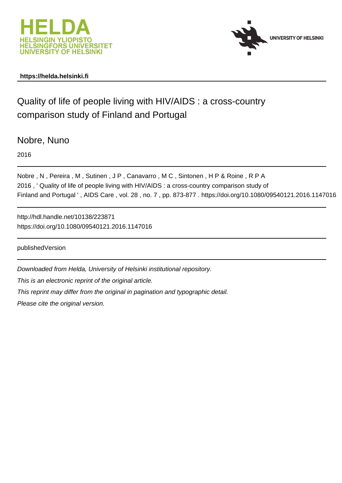



# **https://helda.helsinki.fi**

# Quality of life of people living with HIV/AIDS : a cross-country comparison study of Finland and Portugal

Nobre, Nuno

2016

Nobre , N , Pereira , M , Sutinen , J P , Canavarro , M C , Sintonen , H P & Roine , R P A 2016 , ' Quality of life of people living with HIV/AIDS : a cross-country comparison study of Finland and Portugal ' , AIDS Care , vol. 28 , no. 7 , pp. 873-877 . https://doi.org/10.1080/09540121.2016.1147016

http://hdl.handle.net/10138/223871 https://doi.org/10.1080/09540121.2016.1147016

publishedVersion

Downloaded from Helda, University of Helsinki institutional repository. This is an electronic reprint of the original article. This reprint may differ from the original in pagination and typographic detail.

Please cite the original version.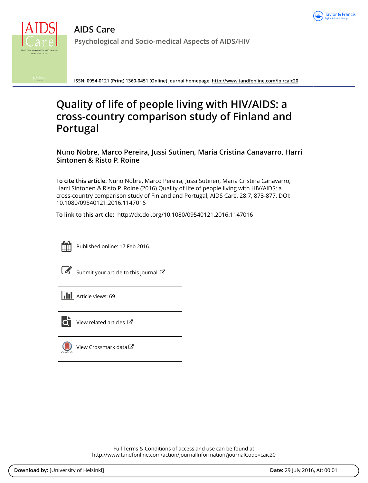



**ISSN: 0954-0121 (Print) 1360-0451 (Online) Journal homepage:<http://www.tandfonline.com/loi/caic20>**

# **Quality of life of people living with HIV/AIDS: a cross-country comparison study of Finland and Portugal**

**Nuno Nobre, Marco Pereira, Jussi Sutinen, Maria Cristina Canavarro, Harri Sintonen & Risto P. Roine**

**To cite this article:** Nuno Nobre, Marco Pereira, Jussi Sutinen, Maria Cristina Canavarro, Harri Sintonen & Risto P. Roine (2016) Quality of life of people living with HIV/AIDS: a cross-country comparison study of Finland and Portugal, AIDS Care, 28:7, 873-877, DOI: [10.1080/09540121.2016.1147016](http://www.tandfonline.com/action/showCitFormats?doi=10.1080/09540121.2016.1147016)

**To link to this article:** <http://dx.doi.org/10.1080/09540121.2016.1147016>



Published online: 17 Feb 2016.

[Submit your article to this journal](http://www.tandfonline.com/action/authorSubmission?journalCode=caic20&page=instructions)  $\mathbb{Z}$ 

**III** Article views: 69



 $\overline{\mathbf{Q}}$  [View related articles](http://www.tandfonline.com/doi/mlt/10.1080/09540121.2016.1147016)  $\mathbf{C}$ 

 $\bigcirc$  [View Crossmark data](http://crossmark.crossref.org/dialog/?doi=10.1080/09540121.2016.1147016&domain=pdf&date_stamp=2016-02-17) $\mathbb{Z}$ 

Full Terms & Conditions of access and use can be found at <http://www.tandfonline.com/action/journalInformation?journalCode=caic20>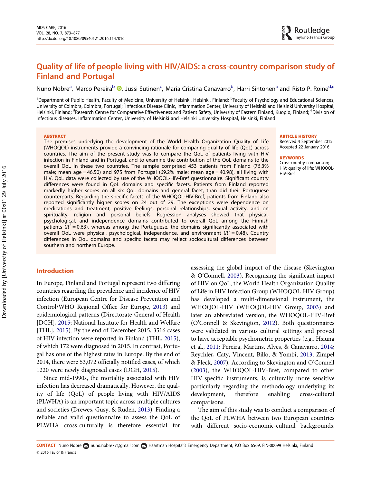# <span id="page-2-0"></span>Quality of life of people living with HIV/AIDS: a cross-country comparison study of Finland and Portugal

Nuno Nobre<sup>a</sup>[,](http://orcid.org/0000-0002-6086-2329) Marco Pereira<sup>b</sup> <sup>®</sup>, Jussi Sutinen<sup>c</sup>, Maria Cristina Canavarro<sup>b</sup>, Harri Sintonen<sup>a</sup> and Risto P. Roine<sup>d,e</sup>

<sup>a</sup>Department of Public Health, Faculty of Medicine, University of Helsinki, Helsinki, Finland; <sup>b</sup>Faculty of Psychology and Educational Sciences, University of Coimbra, Coimbra, Portugal; <sup>c</sup>Infectious Disease Clinic, Inflammation Center, University of Helsinki and Helsinki University Hospital, Helsinki, Finland; <sup>d</sup>Research Centre for Comparative Effectiveness and Patient Safety, University of Eastern Finland, Kuopio, Finland; <sup>e</sup>Division of infectious diseases, Inflammation Center, University of Helsinki and Helsinki University Hospital, Helsinki, Finland

#### **ABSTRACT**

The premises underlying the development of the World Health Organization Quality of Life (WHOQOL) instruments provide a convincing rationale for comparing quality of life (QoL) across countries. The aim of the present study was to compare the QoL of patients living with HIV infection in Finland and in Portugal, and to examine the contribution of the QoL domains to the overall QoL in these two countries. The sample comprised 453 patients from Finland (76.3% male; mean age  $= 46.50$ ) and 975 from Portugal (69.2% male; mean age  $= 40.98$ ), all living with HIV. QoL data were collected by use of the WHOQOL-HIV-Bref questionnaire. Significant country differences were found in QoL domains and specific facets. Patients from Finland reported markedly higher scores on all six QoL domains and general facet, than did their Portuguese counterparts. Regarding the specific facets of the WHOQOL-HIV-Bref, patients from Finland also reported significantly higher scores on 24 out of 29. The exceptions were dependence on medications and treatment, positive feelings, personal relationships, sexual activity, and on spirituality, religion and personal beliefs. Regression analyses showed that physical, psychological, and independence domains contributed to overall QoL among the Finnish patients ( $R^2$  = 0.63), whereas among the Portuguese, the domains significantly associated with overall QoL were physical, psychological, independence, and environment  $(R^2 = 0.48)$ . Country differences in QoL domains and specific facets may reflect sociocultural differences between southern and northern Europe.

# Introduction

In Europe, Finland and Portugal represent two differing countries regarding the prevalence and incidence of HIV infection (European Centre for Disease Prevention and Control/WHO Regional Office for Europe, [2013\)](#page-6-0) and epidemiological patterns (Directorate-General of Health [DGH], [2015;](#page-6-0) National Institute for Health and Welfare [THL], [2015](#page-6-0)). By the end of December 2015, 3516 cases of HIV infection were reported in Finland (THL, [2015\)](#page-6-0), of which 172 were diagnosed in 2015. In contrast, Portugal has one of the highest rates in Europe. By the end of 2014, there were 53,072 officially notified cases, of which 1220 were newly diagnosed cases (DGH, [2015](#page-6-0)).

Since mid-1990s, the mortality associated with HIV infection has decreased dramatically. However, the quality of life (QoL) of people living with HIV/AIDS (PLWHA) is an important topic across multiple cultures and societies (Drewes, Gusy, & Ruden, [2013\)](#page-6-0). Finding a reliable and valid questionnaire to assess the QoL of PLWHA cross-culturally is therefore essential for assessing the global impact of the disease (Skevington & O'Connell, [2003\)](#page-6-0). Recognising the significant impact of HIV on QoL, the World Health Organization Quality of Life in HIV Infection Group (WHOQOL-HIV Group) has developed a multi-dimensional instrument, the WHOQOL-HIV (WHOQOL-HIV Group, [2003](#page-6-0)) and later an abbreviated version, the WHOQOL-HIV-Bref (O'Connell & Skevington, [2012](#page-6-0)). Both questionnaires were validated in various cultural settings and proved to have acceptable psychometric properties (e.g., Hsiung et al., [2011;](#page-6-0) Pereira, Martins, Alves, & Canavarro, [2014](#page-6-0); Reychler, Caty, Vincent, Billo, & Yombi, [2013](#page-6-0); Zimpel & Fleck, [2007](#page-6-0)). According to Skevington and O'Connell [\(2003](#page-6-0)), the WHOQOL-HIV-Bref, compared to other HIV-specific instruments, is culturally more sensitive particularly regarding the methodology underlying its development, therefore enabling cross-cultural comparisons.

The aim of this study was to conduct a comparison of the QoL of PLWHA between two European countries with different socio-economic-cultural backgrounds,

#### © 2016 Taylor & Francis CONTACT Nuno Nobre 2 [nuno.nobre77@gmail.com](mailto:nuno.nobre77@gmail.com) **e** Haartman Hospital's Emergency Department, P.O Box 6569, FIN-00099 Helsinki, Finland

Received 4 September 2015 Accepted 22 January 2016

#### **KEYWORDS**

Cross-country comparison; HIV; quality of life; WHOQOL-HIV-Bref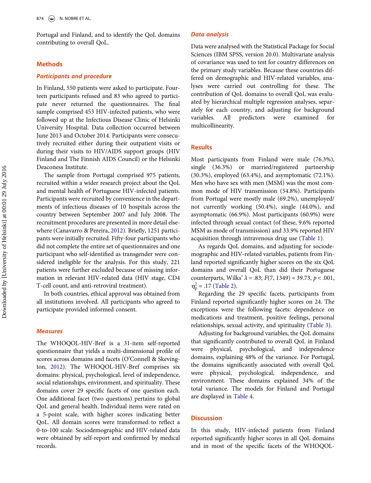<span id="page-3-0"></span>Portugal and Finland, and to identify the QoL domains contributing to overall QoL.

## Methods

#### Participants and procedure

In Finland, 550 patients were asked to participate. Fourteen participants refused and 83 who agreed to participate never returned the questionnaires. The final sample comprised 453 HIV-infected patients, who were followed up at the Infectious Disease Clinic of Helsinki University Hospital. Data collection occurred between June 2013 and October 2014. Participants were consecutively recruited either during their outpatient visits or during their visits to HIV/AIDS support groups (HIV Finland and The Finnish AIDS Council) or the Helsinki Deaconess Institute.

The sample from Portugal comprised 975 patients, recruited within a wider research project about the QoL and mental health of Portuguese HIV-infected patients. Participants were recruited by convenience in the departments of infectious diseases of 10 hospitals across the country between September 2007 and July 2008. The recruitment procedures are presented in more detail elsewhere (Canavarro & Pereira, [2012](#page-6-0)). Briefly, 1251 participants were initially recruited. Fifty-four participants who did not complete the entire set of questionnaires and one participant who self-identified as transgender were considered ineligible for the analysis. For this study, 221 patients were further excluded because of missing information in relevant HIV-related data (HIV stage, CD4 T-cell count, and anti-retroviral treatment).

In both countries, ethical approval was obtained from all institutions involved. All participants who agreed to participate provided informed consent.

#### **Measures**

The WHOQOL-HIV-Bref is a 31-item self-reported questionnaire that yields a multi-dimensional profile of scores across domains and facets (O'Connell & Skevington, [2012](#page-6-0)). The WHOQOL-HIV-Bref comprises six domains: physical, psychological, level of independence, social relationships, environment, and spirituality. These domains cover 29 specific facets of one question each. One additional facet (two questions) pertains to global QoL and general health. Individual items were rated on a 5-point scale, with higher scores indicating better QoL. All domain scores were transformed to reflect a 0-to-100 scale. Sociodemographic and HIV-related data were obtained by self-report and confirmed by medical records.

### Data analysis

Data were analysed with the Statistical Package for Social Sciences (IBM SPSS, version 20.0). Multivariate analysis of covariance was used to test for country differences on the primary study variables. Because these countries differed on demographic and HIV-related variables, analyses were carried out controlling for these. The contribution of QoL domains to overall QoL was evaluated by hierarchical multiple regression analyses, separately for each country, and adjusting for background variables. All predictors were examined for multicollinearity.

# **Results**

Most participants from Finland were male (76.3%), single (36.3%) or married/registered partnership (30.3%), employed (63.4%), and asymptomatic (72.1%). Men who have sex with men (MSM) was the most common mode of HIV transmission (54.8%). Participants from Portugal were mostly male (69.2%), unemployed/ not currently working (50.4%), single (44.0%), and asymptomatic (66.9%). Most participants (60.9%) were infected through sexual contact (of these, 9.6% reported MSM as mode of transmission) and 33.9% reported HIV acquisition through intravenous drug use [\(Table 1](#page-4-0)).

As regards QoL domains, and adjusting for sociodemographic and HIV-related variables, patients from Finland reported significantly higher scores on the six QoL domains and overall QoL than did their Portuguese counterparts, Wilks'  $\lambda = .83$ ;  $F(7, 1349) = 39.73$ ,  $p < .001$ ,  $\eta_{\rm p}^2 = .17$  [\(Table 2](#page-5-0)).

Regarding the 29 specific facets, participants from Finland reported significantly higher scores on 24. The exceptions were the following facets: dependence on medications and treatment, positive feelings, personal relationships, sexual activity, and spirituality [\(Table 3\)](#page-5-0).

Adjusting for background variables, the QoL domains that significantly contributed to overall QoL in Finland were physical, psychological, and independence domains, explaining 48% of the variance. For Portugal, the domains significantly associated with overall QoL were physical, psychological, independence, and environment. These domains explained 34% of the total variance. The models for Finland and Portugal are displayed in [Table 4](#page-5-0).

# **Discussion**

In this study, HIV-infected patients from Finland reported significantly higher scores in all QoL domains and in most of the specific facets of the WHOQOL-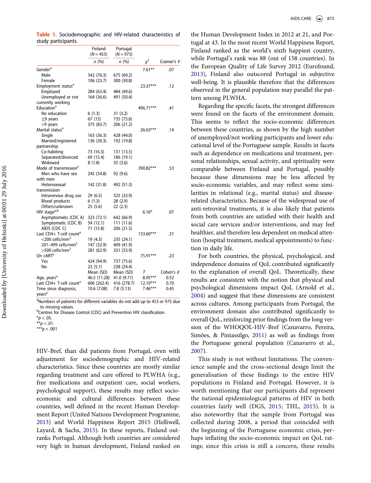|                                             | Finland<br>$(N = 453)$ | Portugal<br>$(N = 975)$ |            |            |
|---------------------------------------------|------------------------|-------------------------|------------|------------|
|                                             | n(%)                   | n(%)                    | $x^2$      | Cramer's V |
| Gender <sup>a</sup>                         |                        |                         | $7.61**$   | .07        |
| Male                                        | 342 (76.3)             | 675 (69.2)              |            |            |
| Female                                      | 106 (23.7)             | 300 (30.8)              |            |            |
| Employment status <sup>a</sup>              |                        |                         | 23.37***   | .12        |
| Employed                                    | 284 (63.4)             | 484 (49.6)              |            |            |
| Unemployed or not                           | 164 (36.6)             | 491 (50.4)              |            |            |
| currently working                           |                        |                         |            |            |
| Education <sup>a</sup>                      |                        |                         | 496.71***  | .41        |
| No education                                | 6(1.3)                 | 31(3.2)                 |            |            |
| $\leq$ 9 years                              | 67 (15)                | 735 (75.6)              |            |            |
| >9 years                                    | 375 (83.7)             | 206 (21.2)              |            |            |
| Marital status <sup>a</sup>                 |                        |                         | 26.63***   | .14        |
| Single                                      | 163 (36.3)             | 428 (44.0)              |            |            |
| Married/registered                          | 136 (30.3)             | 192 (19.8)              |            |            |
| partnership                                 |                        |                         |            |            |
| Co-habiting                                 | 73 (16.3)              | 131 (13.5)              |            |            |
| Separated/divorced                          | 69 (15.4)              | 186 (19.1)              |            |            |
| Widowed                                     | 8(1.8)                 | 35 (3.6)                |            |            |
| Mode of transmission <sup>a</sup>           |                        |                         | 390.82***  | .53        |
| Men who have sex                            | 245 (54.8)             | 92 (9.6)                |            |            |
| with men                                    |                        |                         |            |            |
| Heterosexual                                | 142 (31.8)             | 492 (51.3)              |            |            |
| transmission                                |                        |                         |            |            |
| Intravenous drug use                        | 29 (6.5)               | 325 (33.9)              |            |            |
| <b>Blood products</b>                       | 6(1.3)                 | 28 (2.9)                |            |            |
| Others/unknown                              | 25 (5.6)               | 22(2.3)                 |            |            |
| HIV stage <sup>a,b</sup>                    |                        |                         | $6.16*$    | .07        |
| Asymptomatic (CDC A)                        | 323 (72.1)             | 642 (66.9)              |            |            |
| Symptomatic (CDC B)                         | 54 (12.1)              | 111 (11.6)              |            |            |
| AIDS (CDC C)                                | 71 (15.8)              | 206 (21.5)              |            |            |
| Last CD4+ T-cell count <sup>a</sup>         |                        |                         | 133.60***  | .31        |
| <200 cells/mm <sup>3</sup>                  | 19 (4.3)               | 235 (24.1)              |            |            |
| 201-499 cells/mm <sup>3</sup>               | 147 (32.9)             | 409 (41.9)              |            |            |
| $>$ 500 cells/mm <sup>3</sup>               | 281 (62.9)             | 331 (33.9)              |            |            |
| On cART <sup>a</sup>                        |                        |                         | 75.91***   | .23        |
| Yes                                         | 424 (94.9)             | 737 (75.6)              |            |            |
| No                                          | 23 (5.1)               | 238 (24.4)              |            |            |
|                                             | Mean (SD)              | Mean (SD)               | Τ          | Cohen's d  |
| Age, years <sup>a</sup>                     | 46.5 (11.28)           | 41.0 (9.71)             | $8.95***$  | 0.52       |
| Last CD4+ T-cell count <sup>a</sup>         | 606 (262.4)            | 416 (278.7)             | $12.10***$ | 0.70       |
| Time since diagnosis,<br>years <sup>a</sup> | 10.6 (7.08)            | 7.8(5.13)               | $7.46***$  | 0.45       |

<span id="page-4-0"></span>Table 1. Sociodemographic and HIV-related characteristics of study participants.

<sup>a</sup>Numbers of patients for different variables do not add up to 453 or 975 due to missing values.<br><sup>b</sup>Centres for Disease Control (CDC) and Prevention HIV classification.

 $*p < .05$ .

 $* p < .01$ .

\*\*\* $p < .001$ 

HIV-Bref, than did patients from Portugal, even with adjustment for sociodemographic and HIV-related characteristics. Since these countries are mostly similar regarding treatment and care offered to PLWHA (e.g., free medications and outpatient care, social workers, psychological support), these results may reflect socioeconomic and cultural differences between these countries, well defined in the recent Human Development Report (United Nations Development Programme, [2013](#page-6-0)) and World Happiness Report 2015 (Helliwell, Layard, & Sachs, [2015\)](#page-6-0). In these reports, Finland outranks Portugal. Although both countries are considered very high in human development, Finland ranked on

the Human Development Index in 2012 at 21, and Portugal at 43. In the most recent World Happiness Report, Finland ranked as the world's sixth happiest country, while Portugal's rank was 88 (out of 158 countries). In the European Quality of Life Survey 2012 (Eurofound, [2013\)](#page-6-0), Finland also outscored Portugal in subjective well-being. It is plausible therefore that the differences observed in the general population may parallel the pattern among PLWHA.

Regarding the specific facets, the strongest differences were found on the facets of the environment domain. This seems to reflect the socio-economic differences between these countries, as shown by the high number of unemployed/not working participants and lower educational level of the Portuguese sample. Results in facets such as dependence on medications and treatment, personal relationships, sexual activity, and spirituality were comparable between Finland and Portugal, possibly because these dimensions may be less affected by socio-economic variables, and may reflect some similarities in relational (e.g., marital status) and diseaserelated characteristics. Because of the widespread use of anti-retroviral treatments, it is also likely that patients from both countries are satisfied with their health and social care services and/or interventions, and may feel healthier, and therefore less dependent on medical attention (hospital treatment, medical appointments) to function in daily life.

For both countries, the physical, psychological, and independence domains of QoL contributed significantly to the explanation of overall QoL. Theoretically, these results are consistent with the notion that physical and psychological dimensions impact QoL (Arnold et al., [2004\)](#page-6-0) and suggest that these dimensions are consistent across cultures. Among participants from Portugal, the environment domain also contributed significantly to overall QoL, reinforcing prior findings from the long version of the WHOQOL-HIV-Bref (Canavarro, Pereira, Simões, & Pintassilgo, [2011\)](#page-6-0) as well as findings from the Portuguese general population (Canavarro et al., [2007\)](#page-6-0).

This study is not without limitations. The convenience sample and the cross-sectional design limit the generalisation of these findings to the entire HIV populations in Finland and Portugal. However, it is worth mentioning that our participants did represent the national epidemiological patterns of HIV in both countries fairly well (DGS, [2015](#page-6-0); THL, [2015\)](#page-6-0). It is also noteworthy that the sample from Portugal was collected during 2008, a period that coincided with the beginning of the Portuguese economic crisis, perhaps inflating the socio-economic impact on QoL ratings; since this crisis is still a concern, these results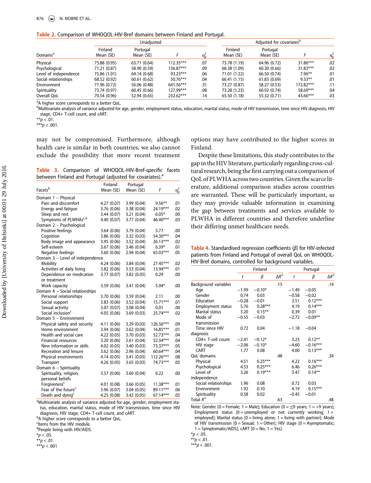<span id="page-5-0"></span>Table 2. Comparison of WHOQOL-HIV-Bref domains between Finland and Portugal.

|                       | Unadjusted           |                       |             |                                 | Adjusted for covariates <sup>b</sup> |                       |            |                  |
|-----------------------|----------------------|-----------------------|-------------|---------------------------------|--------------------------------------|-----------------------|------------|------------------|
| Domains <sup>a</sup>  | Finland<br>Mean (SE) | Portugal<br>Mean (SE) |             | $\eta_{\scriptscriptstyle D}^2$ | Finland<br>Mean (SE)                 | Portugal<br>Mean (SE) |            | $\eta_{\rm p}^2$ |
| Physical              | 75.88 (0.95)         | 63.71 (0.64)          | $112.35***$ | .07                             | 73.78 (1.19)                         | 64.96 (0.72)          | $31.86***$ | .02              |
| Psychological         | 71.21 (0.87)         | 58.90 (0.59)          | 136.87***   | .09                             | 68.38 (1.09)                         | 60.30(0.66)           | $31.83***$ | .02              |
| Level of independence | 75.86 (1.01)         | 64.14 (0.68)          | 93.23***    | .06                             | 71.01 (1.22)                         | 66.50 (0.74)          | $7.96***$  | .01              |
| Social relationships  | 68.52 (0.92)         | 60.61(0.62)           | $50.76***$  | .04                             | 66.41(1.15)                          | 61.83(0.69)           | $9.33***$  | .01              |
| Environment           | 77.96 (0.72)         | 56.06 (0.48)          | 641.56***   | .31                             | 73.27 (0.87)                         | 58.27 (0.53)          | 172.82***  | .11              |
| Spirituality          | 73.74 (0.97)         | 60.45(0.66)           | 127.99***   | .08                             | 73.28 (1.23)                         | 60.92 (0.74)          | 58.69***   | .04              |
| Overall OoL           | 70.54 (0.96)         | 52.94 (0.65)          | 232.62***   | .14                             | 65.50 (1.18)                         | 55.32 (0.71)          | 43.66***   | .03              |

<sup>a</sup>A higher score corresponds to a better QoL.

**bMultivariate analysis of variance adjusted for age, gender, employment status, education, marital status, mode of HIV transmission, time since HIV diagnosis, HIV** stage, CD4+ T-cell count, and cART.

\*\* $p < .01$ .

\*\*\* $p < .001$ .

may not be compromised. Furthermore, although health care is similar in both countries, we also cannot exclude the possibility that more recent treatment

Table 3. Comparison of WHOQOL-HIV-Bref-specific facets between Finland and Portugal (adjusted for covariates).<sup>a</sup>

|                                  | Finland     | Portugal    |             |                  |
|----------------------------------|-------------|-------------|-------------|------------------|
| Facets <sup>b</sup>              | Mean (SE)   | Mean (SE)   | F           | $\eta_{\rm p}^2$ |
| Domain 1 - Physical              |             |             |             |                  |
| Pain and discomfort              | 4.27 (0.07) | 3.99 (0.04) | $9.56**$    | .01              |
| Energy and fatigue               | 3.76 (0.06) | 3.38 (0.04) | 24.19***    | .02              |
| Sleep and rest                   | 3.44(0.07)  | 3.21(0.04)  | $6.05*$     | .00              |
| Symptoms of PLWHAsc,d            | 4.40 (0.07) | 3.77 (0.04) | 46.40***    | .03              |
| Domain 2 - Psychological         |             |             |             |                  |
| Positive feelings                | 3.64(0.06)  | 3.79 (0.04) | 3.77        | .00              |
| Cognition                        | 3.86 (0.06) | 3.32(0.03)  | 54.30***    | .04              |
| Body image and appearance        | 3.95 (0.06) | 3.52 (0.04) | $26.13***$  | .02              |
| Self-esteem                      | 3.67(0.06)  | 3.46 (0.04) | $6.39*$     | .01              |
| Negative feelings                | 3.60(0.06)  | 2.94(0.04)  | 65.03***    | .05              |
| Domain 3 - Level of independence |             |             |             |                  |
| Mobility                         | 4.24 (0.06) | 3.84(0.04)  | 27.45***    | .02              |
| Activities of daily living       | 3.82(0.06)  | 3.53(0.04)  | $13.94***$  | .01              |
| Dependence on medication         | 3.77 (0.07) | 3.82 (0.05) | 0.29        | .00              |
| or treatment                     |             |             |             |                  |
| Work capacity                    | 3.59(0.06)  | 3.41(0.04)  | $5.04*$     | .00              |
| Domain 4 - Social relationships  |             |             |             |                  |
| Personal relationships           | 3.70 (0.06) | 3.59 (0.04) | 2.11        | .00              |
| Social support                   | 3.83(0.06)  | 3.52(0.04)  | $15.71***$  | .01              |
| Sexual activity                  | 3.07 (0.07) | 3.08(0.04)  | 0.01        | .00              |
| Social inclusion <sup>c</sup>    | 4.05(0.06)  | 3.69(0.03)  | 25.74***    | .02              |
| Domain 5 - Environment           |             |             |             |                  |
| Physical safety and security     | 4.11 (0.06) | 3.29(0.03)  | 126.56***   | .09              |
| Home environment                 | 3.94 (0.06) | 3.62(0.04)  | $16.85***$  | .01              |
| Health and social care           | 4.22 (0.05) | 3.70 (0.03) | 52.73***    | .04              |
| <b>Financial resources</b>       | 3.20(0.06)  | 2.61(0.04)  | 52.34***    | .04              |
| New information or skills        | 4.02(0.05)  | 3.40(0.03)  | 73.37***    | .05              |
| Recreation and leisure           | 3.62(0.06)  | 2.96(0.04)  | 60.64***    | .04              |
| Physical environments            | 4.14 (0.05) | 3.41(0.03)  | $112.26***$ | .08              |
| Transport                        | 4.26(0.05)  | 3.65(0.03)  | 74.73***    | .05              |
| Domain 6 - Spirituality          |             |             |             |                  |
| Spirituality, religion,          | 3.57(0.06)  | 3.60(0.04)  | 0.22        | .00              |
| personal beliefs                 |             |             |             |                  |
| Forgiveness <sup>c</sup>         | 4.01 (0.08) | 3.66(0.05)  | $11.38***$  | .01              |
| Fear of the future <sup>c</sup>  | 3.96 (0.07) | 3.04(0.05)  | 89.11***    | .06              |
| Death and dying <sup>c</sup>     | 4.25 (0.08) | 3.42(0.05)  | 67.14***    | .05              |
|                                  |             |             |             |                  |

<sup>a</sup>Multivariate analysis of variance adjusted for age, gender, employment status, education, marital status, mode of HIV transmission, time since HIV diagnosis, HIV stage, CD4+ T-cell count, and cART.

<sup>b</sup>A higher score corresponds to a better QoL.

<sup>c</sup>Items from the HIV module.

<sup>d</sup>People living with HIV/AIDS.

 $*p < .05$ .

 $* p < .01$ .

\*\*\* $p < .001$ 

options may have contributed to the higher scores in Finland.

Despite these limitations, this study contributes to the gap in the HIV literature, particularly regarding cross-cultural research, being the first carrying out a comparison of QoL of PLWHA across two countries. Given the scarce literature, additional comparison studies across countries are warranted. These will be particularly important, as they may provide valuable information in examining the gap between treatments and services available to PLWHA in different countries and therefore underline their differing unmet healthcare needs.

Table 4. Standardised regression coefficients (β) for HIV-infected patients from Finland and Portugal of overall QoL on WHOQOL-HIV-Bref domains, controlled for background variables.

|                          | Finland |           |              | Portugal |            |              |
|--------------------------|---------|-----------|--------------|----------|------------|--------------|
|                          | t       | β         | $\Delta R^2$ | t        | β          | $\Delta R^2$ |
| Background variables     |         |           | .15          |          |            | .14          |
| Age                      | $-1.99$ | $-0.10*$  |              | $-1.49$  | $-0.05$    |              |
| Gender                   | 0.74    | 0.03      |              | $-0.58$  | $-0.02$    |              |
| Education                | $-0.28$ | $-0.01$   |              | 3.51     | $0.12***$  |              |
| <b>Employment status</b> | 5.76    | $0.28***$ |              | 4.19     | $0.14***$  |              |
| Marital status           | 3.20    | $0.15***$ |              | 0.39     | 0.01       |              |
| Mode of                  | $-0.55$ | $-0.03$   |              | $-2.72$  | $-0.09**$  |              |
| transmission             |         |           |              |          |            |              |
| Time since HIV           | 0.72    | 0.04      |              | $-1.18$  | $-0.04$    |              |
| diagnosis                |         |           |              |          |            |              |
| CD4+ T-cell count        | $-2.41$ | $-0.12*$  |              | 3.23     | $0.12***$  |              |
| HIV stage                | $-2.06$ | $-0.10*$  |              | $-4.60$  | $-0.16***$ |              |
| <b>CART</b>              | 1.77    | 0.08      |              | 4.00     | $0.13***$  |              |
| OoL domains              |         |           | .48          |          |            | .34          |
| Physical                 | 4.51    | $0.25***$ |              | 4.22     | $0.16***$  |              |
| Psychological            | 4.53    | $0.25***$ |              | 6.46     | $0.26***$  |              |
| Level of                 | 3.26    | $0.19***$ |              | 3.47     | $0.14***$  |              |
| independence             |         |           |              |          |            |              |
| Social relationships     | 1.96    | 0.08      |              | 0.72     | 0.03       |              |
| Environment              | 1.92    | 0.10      |              | 4.19     | $0.15***$  |              |
| Spirituality             | 0.58    | 0.02      |              | $-0.45$  | $-0.01$    |              |
| Total $R^2$              |         |           | .63          |          |            | .48          |

Note: Gender  $[0 =$  Female; 1 = Male]; Education  $[0 = \leq 9$  years; 1 = >9 years]; Employment status  $[0 =$  unemployed or not currently working;  $1 =$ employed]; Marital status  $[0 =$  living alone;  $1 =$  living with partner]; Mode of HIV transmission  $[0 =$  Sexual; 1 = Other]; HIV stage  $[0 =$  Asymptomatic;  $1 =$  Symptomatic/AIDS]; cART  $[0 = No; 1 = Yes]$ .

$$
*p<.05.
$$

\*\* $p < .01$ .

\*\*\* $p < .001$ .